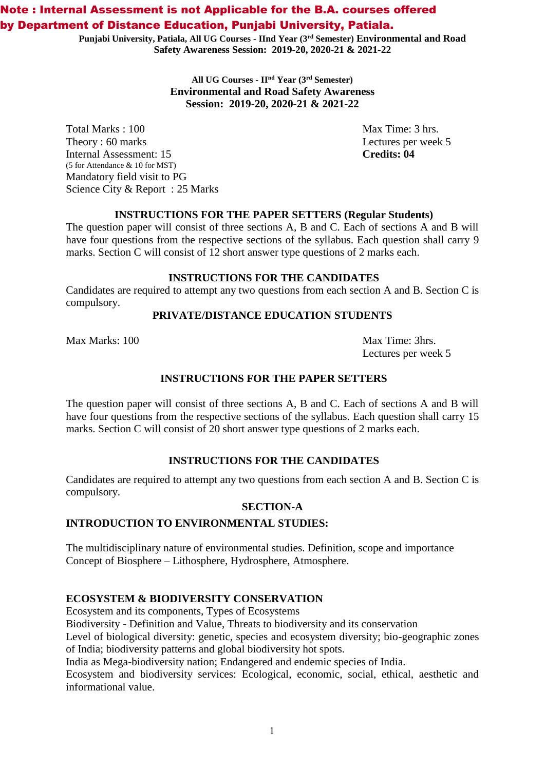# Note : Internal Assessment is not Applicable for the B.A. courses offered by Department of Distance Education, Punjabi University, Patiala.

**Punjabi University, Patiala, All UG Courses - IInd Year (3rd Semester) Environmental and Road Safety Awareness Session: 2019-20, 2020-21 & 2021-22**

> **All UG Courses - IInd Year (3 rd Semester) Environmental and Road Safety Awareness Session: 2019-20, 2020-21 & 2021-22**

Total Marks : 100 Max Time: 3 hrs. Theory : 60 marks Lectures per week 5 Internal Assessment: 15 **Credits: 04** (5 for Attendance & 10 for MST) Mandatory field visit to PG Science City & Report : 25 Marks

### **INSTRUCTIONS FOR THE PAPER SETTERS (Regular Students)**

The question paper will consist of three sections A, B and C. Each of sections A and B will have four questions from the respective sections of the syllabus. Each question shall carry 9 marks. Section C will consist of 12 short answer type questions of 2 marks each.

#### **INSTRUCTIONS FOR THE CANDIDATES**

Candidates are required to attempt any two questions from each section A and B. Section C is compulsory.

### **PRIVATE/DISTANCE EDUCATION STUDENTS**

Max Marks: 100 Max Time: 3hrs.

Lectures per week 5

### **INSTRUCTIONS FOR THE PAPER SETTERS**

The question paper will consist of three sections A, B and C. Each of sections A and B will have four questions from the respective sections of the syllabus. Each question shall carry 15 marks. Section C will consist of 20 short answer type questions of 2 marks each.

### **INSTRUCTIONS FOR THE CANDIDATES**

Candidates are required to attempt any two questions from each section A and B. Section C is compulsory.

# **SECTION-A**

#### **INTRODUCTION TO ENVIRONMENTAL STUDIES:**

The multidisciplinary nature of environmental studies. Definition, scope and importance Concept of Biosphere – Lithosphere, Hydrosphere, Atmosphere.

### **ECOSYSTEM & BIODIVERSITY CONSERVATION**

Ecosystem and its components, Types of Ecosystems

Biodiversity - Definition and Value, Threats to biodiversity and its conservation

Level of biological diversity: genetic, species and ecosystem diversity; bio-geographic zones of India; biodiversity patterns and global biodiversity hot spots.

India as Mega-biodiversity nation; Endangered and endemic species of India.

Ecosystem and biodiversity services: Ecological, economic, social, ethical, aesthetic and informational value.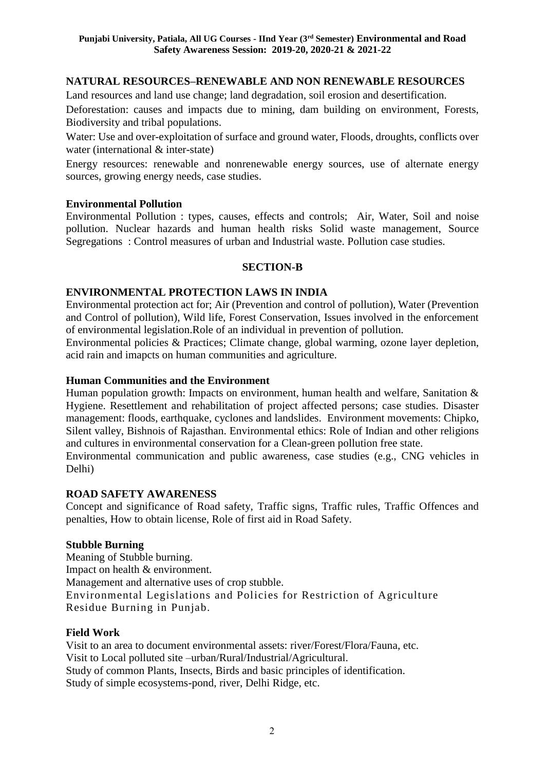# **NATURAL RESOURCES–RENEWABLE AND NON RENEWABLE RESOURCES**

Land resources and land use change; land degradation, soil erosion and desertification.

Deforestation: causes and impacts due to mining, dam building on environment, Forests, Biodiversity and tribal populations.

Water: Use and over-exploitation of surface and ground water, Floods, droughts, conflicts over water (international & inter-state)

Energy resources: renewable and nonrenewable energy sources, use of alternate energy sources, growing energy needs, case studies.

### **Environmental Pollution**

Environmental Pollution : types, causes, effects and controls; Air, Water, Soil and noise pollution. Nuclear hazards and human health risks Solid waste management, Source Segregations : Control measures of urban and Industrial waste. Pollution case studies.

# **SECTION-B**

# **ENVIRONMENTAL PROTECTION LAWS IN INDIA**

Environmental protection act for; Air (Prevention and control of pollution), Water (Prevention and Control of pollution), Wild life, Forest Conservation, Issues involved in the enforcement of environmental legislation.Role of an individual in prevention of pollution.

Environmental policies & Practices; Climate change, global warming, ozone layer depletion, acid rain and imapcts on human communities and agriculture.

# **Human Communities and the Environment**

Human population growth: Impacts on environment, human health and welfare, Sanitation & Hygiene. Resettlement and rehabilitation of project affected persons; case studies. Disaster management: floods, earthquake, cyclones and landslides. Environment movements: Chipko, Silent valley, Bishnois of Rajasthan. Environmental ethics: Role of Indian and other religions and cultures in environmental conservation for a Clean-green pollution free state.

Environmental communication and public awareness, case studies (e.g., CNG vehicles in Delhi)

### **ROAD SAFETY AWARENESS**

Concept and significance of Road safety, Traffic signs, Traffic rules, Traffic Offences and penalties, How to obtain license, Role of first aid in Road Safety.

### **Stubble Burning**

Meaning of Stubble burning. Impact on health & environment. Management and alternative uses of crop stubble. Environmental Legislations and Policies for Restriction of Agriculture Residue Burning in Punjab.

### **Field Work**

Visit to an area to document environmental assets: river/Forest/Flora/Fauna, etc. Visit to Local polluted site –urban/Rural/Industrial/Agricultural. Study of common Plants, Insects, Birds and basic principles of identification. Study of simple ecosystems-pond, river, Delhi Ridge, etc.